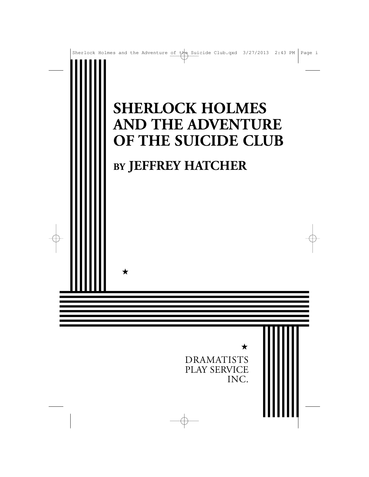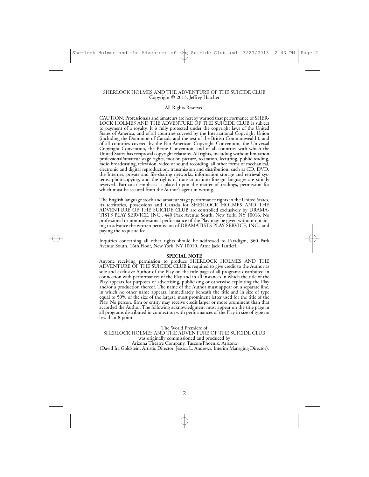#### SHERLOCK HOLMES AND THE ADVENTURE OF THE SUICIDE CLUB Copyright © 2013, Jeffrey Hatcher

#### All Rights Reserved

CAUTION: Professionals and amateurs are hereby warned that performance of SHER-LOCK HOLMES AND THE ADVENTURE OF THE SUICIDE CLUB is subject to payment of a royalty. It is fully protected under the copyright laws of the United States of America, and of all countries covered by the International Copyright Union (including the Dominion of Canada and the rest of the British Commonwealth), and of all countries covered by the Pan-American Copyright Convention, the Universal Copyright Convention, the Berne Convention, and of all countries with which the United States has reciprocal copyright relations. All rights, including without limitation professional/amateur stage rights, motion picture, recitation, lecturing, public reading, radio broadcasting, television, video or sound recording, all other forms of mechanical, electronic and digital reproduction, transmission and distribution, such as CD, DVD, the Internet, private and file-sharing networks, information storage and retrieval systems, photocopying, and the rights of translation into foreign languages are strictly reserved. Particular emphasis is placed upon the matter of readings, permission for which must be secured from the Author's agent in writing.

The English language stock and amateur stage performance rights in the United States, its territories, possessions and Canada for SHERLOCK HOLMES AND THE ADVENTURE OF THE SUICIDE CLUB are controlled exclusively by DRAMA-TISTS PLAY SERVICE, INC., 440 Park Avenue South, New York, NY 10016. No professional or nonprofessional performance of the Play may be given without obtaining in advance the written permission of DRAMATISTS PLAY SERVICE, INC., and paying the requisite fee.

Inquiries concerning all other rights should be addressed to Paradigm, 360 Park Avenue South, 16th Floor, New York, NY 10010. Attn: Jack Tantleff.

#### **SPECIAL NOTE**

Anyone receiving permission to produce SHERLOCK HOLMES AND THE ADVENTURE OF THE SUICIDE CLUB is required to give credit to the Author as sole and exclusive Author of the Play on the title page of all programs distributed in connection with performances of the Play and in all instances in which the title of the Play appears for purposes of advertising, publicizing or otherwise exploiting the Play and/or a production thereof. The name of the Author must appear on a separate line, in which no other name appears, immediately beneath the title and in size of type equal to 50% of the size of the largest, most prominent letter used for the title of the Play. No person, firm or entity may receive credit larger or more prominent than that accorded the Author. The following acknowledgment must appear on the title page in all programs distributed in connection with performances of the Play in size of type no less than 8 point:

The World Premiere of

SHERLOCK HOLMES AND THE ADVENTURE OF THE SUICIDE CLUB was originally commissioned and produced by Arizona Theatre Company, Tuscon/Phoenix, Arizona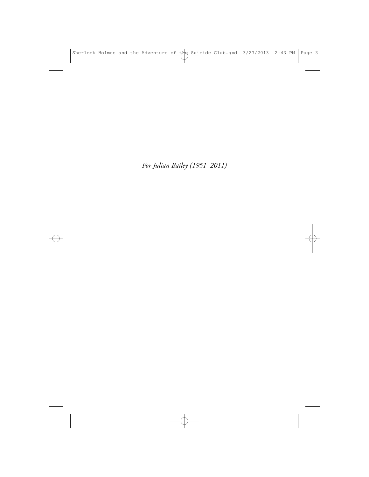*For Julian Bailey (1951–2011)*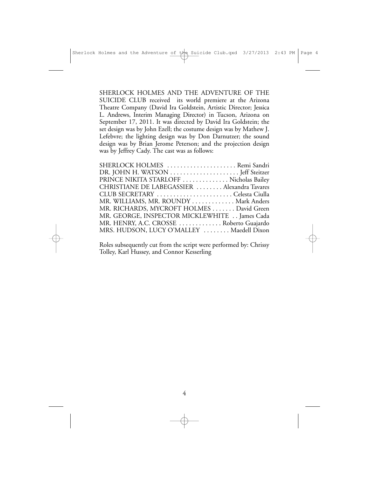SHERLOCK HOLMES AND THE ADVENTURE OF THE SUICIDE CLUB received its world premiere at the Arizona Theatre Company (David Ira Goldstein, Artistic Director; Jessica L. Andrews, Interim Managing Director) in Tucson, Arizona on September 17, 2011. It was directed by David Ira Goldstein; the set design was by John Ezell; the costume design was by Mathew J. Lefebvre; the lighting design was by Don Darnutzer; the sound design was by Brian Jerome Peterson; and the projection design was by Jeffrey Cady. The cast was as follows:

| SHERLOCK HOLMES Remi Sandri                  |  |
|----------------------------------------------|--|
|                                              |  |
| PRINCE NIKITA STARLOFF  Nicholas Bailey      |  |
| CHRISTIANE DE LABEGASSIER  Alexandra Tavares |  |
| CLUB SECRETARY Celesta Ciulla                |  |
| MR. WILLIAMS, MR. ROUNDY  Mark Anders        |  |
| MR. RICHARDS, MYCROFT HOLMES David Green     |  |
| MR. GEORGE, INSPECTOR MICKLEWHITE James Cada |  |
| MR. HENRY, A.C. CROSSE  Roberto Guajardo     |  |
| MRS. HUDSON, LUCY O'MALLEY  Maedell Dixon    |  |

Roles subsequently cut from the script were performed by: Chrissy Tolley, Karl Hussey, and Connor Kesserling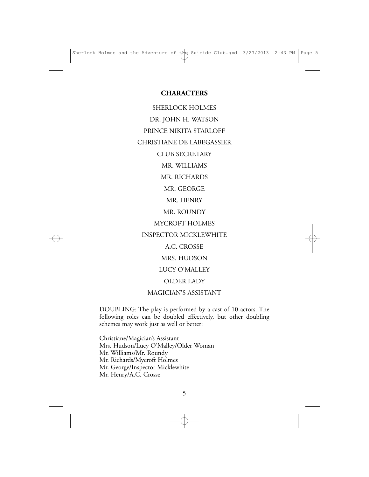#### **CHARACTERS**

SHERLOCK HOLMES DR. JOHN H. WATSON PRINCE NIKITA STARLOFF CHRISTIANE DE LABEGASSIER CLUB SECRETARY MR. WILLIAMS MR. RICHARDS MR. GEORGE MR. HENRY MR. ROUNDY MYCROFT HOLMES INSPECTOR MICKLEWHITE A.C. CROSSE MRS. HUDSON LUCY O'MALLEY OLDER LADY

MAGICIAN'S ASSISTANT

DOUBLING: The play is performed by a cast of 10 actors. The following roles can be doubled effectively, but other doubling schemes may work just as well or better:

Christiane/Magician's Assistant Mrs. Hudson/Lucy O'Malley/Older Woman Mr. Williams/Mr. Roundy Mr. Richards/Mycroft Holmes Mr. George/Inspector Micklewhite Mr. Henry/A.C. Crosse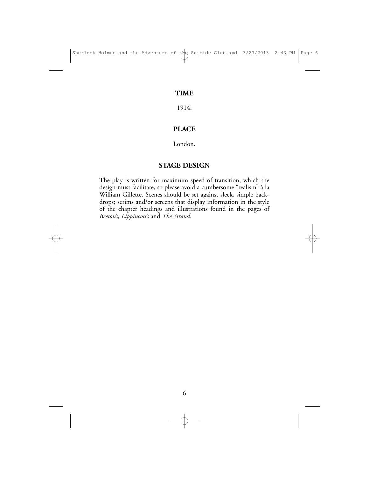### **TIME**

1914.

## **PLACE**

London.

## **STAGE DESIGN**

The play is written for maximum speed of transition, which the design must facilitate, so please avoid a cumbersome "realism" à la William Gillette. Scenes should be set against sleek, simple backdrops; scrims and/or screens that display information in the style of the chapter headings and illustrations found in the pages of *Beeton's, Lippincott's* and *The Strand.*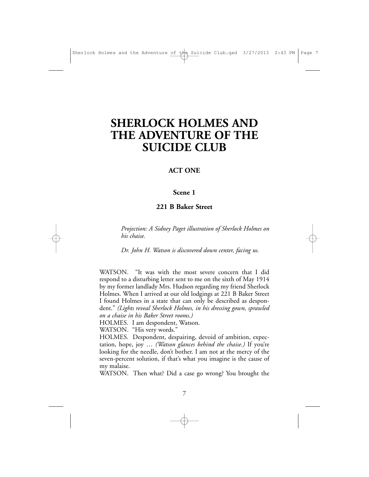## **SHERLOCK HOLMES AND THE ADVENTURE OF THE SUICIDE CLUB**

#### **ACT ONE**

#### **Scene 1**

#### **221 B Baker Street**

*Projection: A Sidney Paget illustration of Sherlock Holmes on his chaise.*

*Dr. John H. Watson is discovered down center, facing us.*

WATSON. "It was with the most severe concern that I did respond to a disturbing letter sent to me on the sixth of May 1914 by my former landlady Mrs. Hudson regarding my friend Sherlock Holmes. When I arrived at our old lodgings at 221 B Baker Street I found Holmes in a state that can only be described as despondent." *(Lights reveal Sherlock Holmes, in his dressing gown, sprawled on a chaise in his Baker Street rooms.)*

HOLMES. I am despondent, Watson.

WATSON. "His very words."

HOLMES. Despondent, despairing, devoid of ambition, expectation, hope, joy … *(Watson glances behind the chaise.)* If you're looking for the needle, don't bother. I am not at the mercy of the seven-percent solution, if that's what you imagine is the cause of my malaise.

WATSON. Then what? Did a case go wrong? You brought the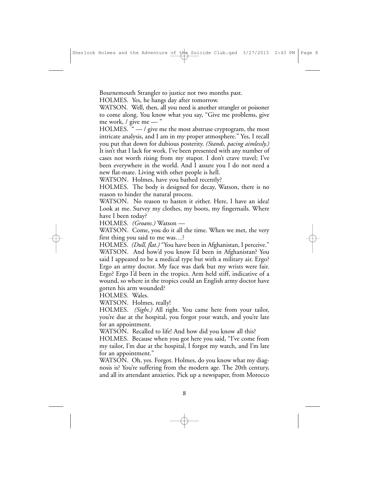Bournemouth Strangler to justice not two months past.

HOLMES. Yes, he hangs day after tomorrow.

WATSON. Well, then, all you need is another strangler or poisoner to come along. You know what you say, "Give me problems, give me work, / give me — "

HOLMES. " — / give me the most abstruse cryptogram, the most intricate analysis, and I am in my proper atmosphere." Yes, I recall you put that down for dubious posterity. *(Stands, pacing aimlessly.)* It isn't that I lack for work. I've been presented with any number of cases not worth rising from my stupor. I don't crave travel; I've been everywhere in the world. And I assure you I do not need a new flat-mate. Living with other people is hell.

WATSON. Holmes, have you bathed recently?

HOLMES. The body is designed for decay, Watson, there is no reason to hinder the natural process.

WATSON. No reason to hasten it either. Here, I have an idea! Look at me. Survey my clothes, my boots, my fingernails. Where have I been today?

HOLMES. *(Groans.)* Watson —

WATSON. Come, you do it all the time. When we met, the very first thing you said to me was…?

HOLMES. *(Dull, flat.)* "You have been in Afghanistan, I perceive." WATSON. And how'd you know I'd been in Afghanistan? You said I appeared to be a medical type but with a military air. Ergo? Ergo an army doctor. My face was dark but my wrists were fair. Ergo? Ergo I'd been in the tropics. Arm held stiff, indicative of a wound, so where in the tropics could an English army doctor have gotten his arm wounded?

HOLMES. Wales.

WATSON. Holmes, really!

HOLMES. *(Sighs.)* All right. You came here from your tailor, you're due at the hospital, you forgot your watch, and you're late for an appointment.

WATSON. Recalled to life! And how did you know all this?

HOLMES. Because when you got here you said, "I've come from my tailor, I'm due at the hospital, I forgot my watch, and I'm late for an appointment."

WATSON. Oh, yes. Forgot. Holmes, do you know what my diagnosis is? You're suffering from the modern age. The 20th century, and all its attendant anxieties. Pick up a newspaper, from Morocco